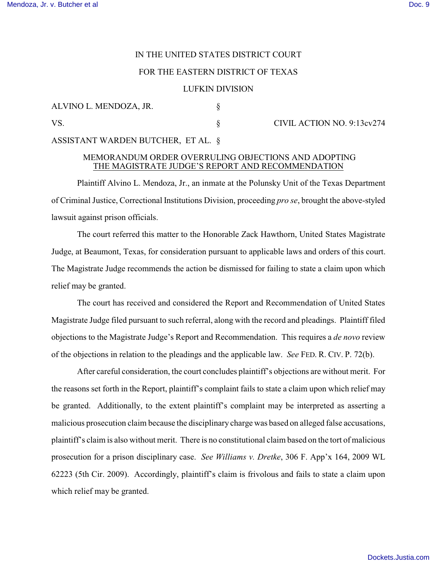# IN THE UNITED STATES DISTRICT COURT

## FOR THE EASTERN DISTRICT OF TEXAS

#### LUFKIN DIVISION

ALVINO L. MENDOZA, JR. § VS. S CIVIL ACTION NO. 9:13cv274

ASSISTANT WARDEN BUTCHER, ET AL. §

## MEMORANDUM ORDER OVERRULING OBJECTIONS AND ADOPTING THE MAGISTRATE JUDGE'S REPORT AND RECOMMENDATION

Plaintiff Alvino L. Mendoza, Jr., an inmate at the Polunsky Unit of the Texas Department of Criminal Justice, Correctional Institutions Division, proceeding *pro se*, brought the above-styled lawsuit against prison officials.

The court referred this matter to the Honorable Zack Hawthorn, United States Magistrate Judge, at Beaumont, Texas, for consideration pursuant to applicable laws and orders of this court. The Magistrate Judge recommends the action be dismissed for failing to state a claim upon which relief may be granted.

The court has received and considered the Report and Recommendation of United States Magistrate Judge filed pursuant to such referral, along with the record and pleadings. Plaintiff filed objections to the Magistrate Judge's Report and Recommendation. This requires a *de novo* review of the objections in relation to the pleadings and the applicable law. *See* FED. R. CIV. P. 72(b).

After careful consideration, the court concludes plaintiff's objections are without merit. For the reasons set forth in the Report, plaintiff's complaint fails to state a claim upon which relief may be granted. Additionally, to the extent plaintiff's complaint may be interpreted as asserting a malicious prosecution claim because the disciplinary charge was based on alleged false accusations, plaintiff's claim is also without merit. There is no constitutional claim based on the tort of malicious prosecution for a prison disciplinary case. *See Williams v. Dretke*, 306 F. App'x 164, 2009 WL 62223 (5th Cir. 2009). Accordingly, plaintiff's claim is frivolous and fails to state a claim upon which relief may be granted.